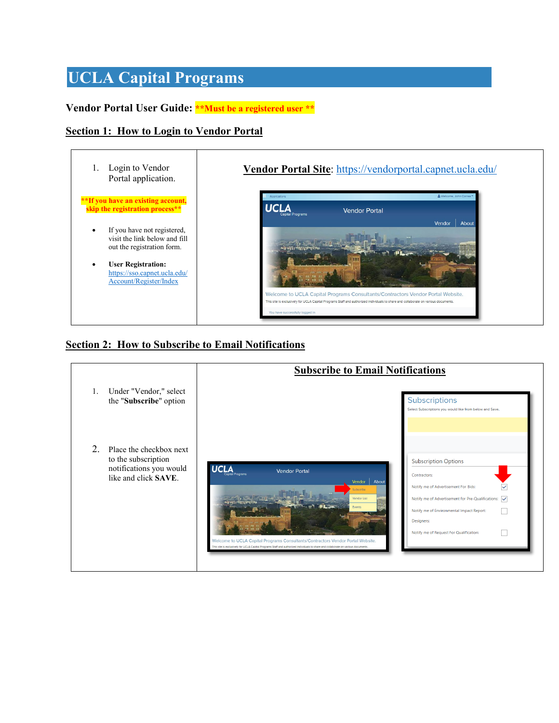# **UCLA Capital Programs**

#### **Vendor Portal User Guide: \*\*Must be a registered user \*\***

#### **Section 1: How to Login to Vendor Portal**



#### **Section 2: How to Subscribe to Email Notifications**

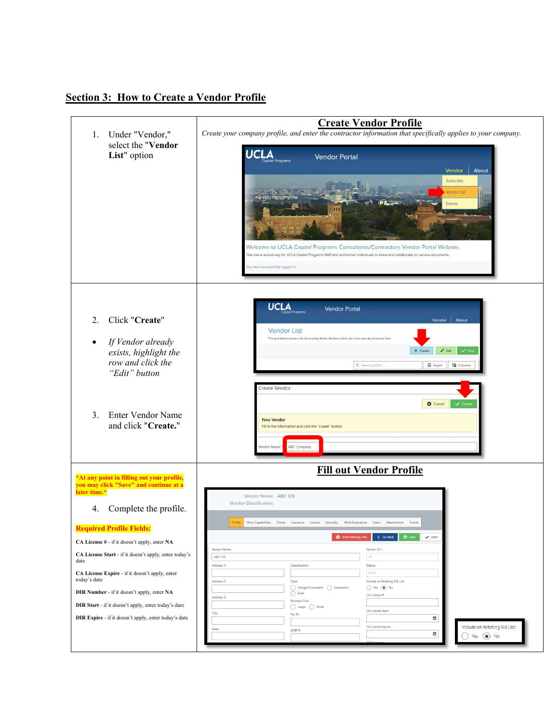### **Section 3: How to Create a Vendor Profile**

|                                                                                                      | <b>Create Vendor Profile</b>                                                                                                                                                                                                                             |
|------------------------------------------------------------------------------------------------------|----------------------------------------------------------------------------------------------------------------------------------------------------------------------------------------------------------------------------------------------------------|
| Under "Vendor,"<br>1.                                                                                | Create your company profile, and enter the contractor information that specifically applies to your company.                                                                                                                                             |
| select the "Vendor<br>List" option                                                                   | <b>UCLA</b><br><b>Vendor Portal</b><br>Capital Programs<br>About<br>Vendor<br>Subscribe                                                                                                                                                                  |
|                                                                                                      | I<br>Vendor List<br>Events                                                                                                                                                                                                                               |
|                                                                                                      | Welcome to UCLA Capital Programs Consultants/Contractors Vendor Portal Website.<br>This site is exclusively for UCLA Capital Programs Staff and authorized individuals to share and collaborate on various documents.<br>fou have successfully logged in |
|                                                                                                      | <b>UCLA</b><br><b>Vendor Portal</b>                                                                                                                                                                                                                      |
| Click "Create"<br>2.                                                                                 | Vendor   About                                                                                                                                                                                                                                           |
|                                                                                                      | <b>Vendor List</b><br>The grid below shows a list of currently Active Vendors which you have security access to view                                                                                                                                     |
| If Vendor already                                                                                    | $\blacktriangleright$ Edit<br>$\checkmark$ View<br>$+$ Create                                                                                                                                                                                            |
| exists, highlight the<br>row and click the                                                           | Q Search grid for<br><b>显</b> Export<br><b>口</b> Columns                                                                                                                                                                                                 |
| "Edit" button                                                                                        |                                                                                                                                                                                                                                                          |
| Enter Vendor Name<br>3.<br>and click "Create."                                                       | Create Vendor<br>$\checkmark$ Create<br><b>3</b> Cancel<br><b>New Vendor</b><br>Fill in the information and click the "Create" button<br>ABC Company<br>Vendor Name:                                                                                     |
|                                                                                                      | <b>Fill out Vendor Profile</b>                                                                                                                                                                                                                           |
| *At any point in filling out your profile,<br>you may click "Save" and continue at a<br>later time.* | Vendor Name: ABC 123                                                                                                                                                                                                                                     |
| Complete the profile.<br>4.                                                                          | <b>Vendor Classification:</b>                                                                                                                                                                                                                            |
|                                                                                                      | Profile<br><b>Work Capabilities</b><br>Owner<br>Insurance<br>License<br>Specialty<br><b>Work Experience</b><br>Users Attachments<br>Events                                                                                                               |
| <u> Required Profile Fields:</u>                                                                     | Show Missing Info<br>$\leftarrow$ Go Back<br>B Save<br>$\checkmark$ View                                                                                                                                                                                 |
| CA License # - if it doesn't apply, enter NA                                                         | Vendor Name:<br>Vendor ID: 1                                                                                                                                                                                                                             |
| CA License Start - if it doesn't apply, enter today's<br>date                                        | <b>ABC 123</b><br>33<br>Classification:<br>Address 1:<br>Status:                                                                                                                                                                                         |
| CA License Expire - if it doesn't apply, enter<br>today's date                                       | Draft<br>Include on Rotating Bid List:<br>Address 2:<br>Type:                                                                                                                                                                                            |
| DIR Number - if it doesn't apply, enter NA                                                           | ◯ Design/Consultant () Contractor<br>$\bigcirc$ Both<br>CA License #:<br>Address 3:                                                                                                                                                                      |
| DIR Start - if it doesn't apply, enter today's date                                                  | <b>Business Size:</b><br>$\bigcirc$ Large $\bigcirc$ Small<br>CA License Start:                                                                                                                                                                          |
| DIR Expire - if it doesn't apply, enter today's date                                                 | City:<br>Tax ID:<br>G                                                                                                                                                                                                                                    |
|                                                                                                      | Include on Rotating Bid List:<br><b>CA License Expire:</b><br>State:<br>AMB #:<br>G<br>Yes $\odot$ No                                                                                                                                                    |
|                                                                                                      |                                                                                                                                                                                                                                                          |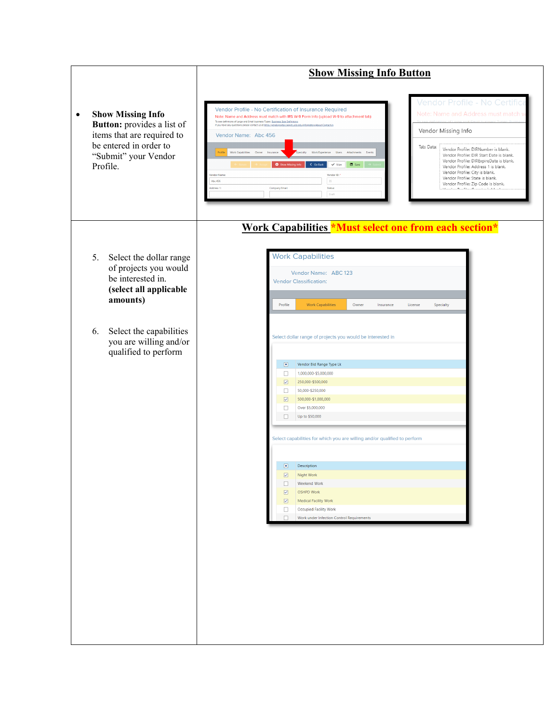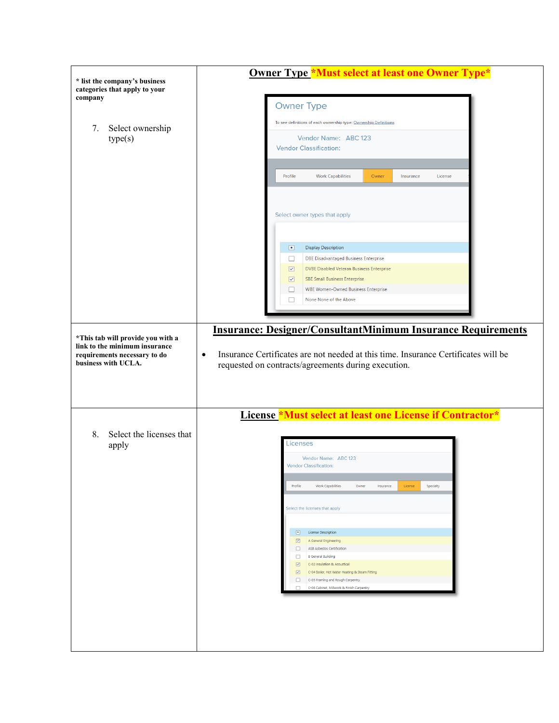|                                                                                                    | Owner Type *Must select at least one Owner Type*                                                |  |
|----------------------------------------------------------------------------------------------------|-------------------------------------------------------------------------------------------------|--|
| * list the company's business<br>categories that apply to your                                     |                                                                                                 |  |
| company                                                                                            | <b>Owner Type</b>                                                                               |  |
|                                                                                                    | To see definitions of each ownership type: Ownership Definitions                                |  |
| Select ownership<br>7.<br>type(s)                                                                  | Vendor Name: ABC 123                                                                            |  |
|                                                                                                    | <b>Vendor Classification:</b>                                                                   |  |
|                                                                                                    |                                                                                                 |  |
|                                                                                                    | Profile<br><b>Work Capabilities</b><br>Owner<br>Insurance<br>License                            |  |
|                                                                                                    |                                                                                                 |  |
|                                                                                                    | Select owner types that apply                                                                   |  |
|                                                                                                    |                                                                                                 |  |
|                                                                                                    |                                                                                                 |  |
|                                                                                                    | ▣<br><b>Display Description</b><br>□<br><b>DBE Disadvantaged Business Enterprise</b>            |  |
|                                                                                                    | $\triangledown$<br><b>DVBE Disabled Veteran Business Enterprise</b>                             |  |
|                                                                                                    | $\triangledown$<br><b>SBE Small Business Enterprise</b>                                         |  |
|                                                                                                    | □<br><b>WBE Women-Owned Business Enterprise</b><br>□<br>None None of the Above                  |  |
|                                                                                                    |                                                                                                 |  |
|                                                                                                    | <b>Insurance: Designer/ConsultantMinimum Insurance Requirements</b>                             |  |
| *This tab will provide you with a<br>link to the minimum insurance<br>requirements necessary to do | Insurance Certificates are not needed at this time. Insurance Certificates will be<br>$\bullet$ |  |
| business with UCLA.                                                                                | requested on contracts/agreements during execution.                                             |  |
|                                                                                                    |                                                                                                 |  |
|                                                                                                    |                                                                                                 |  |
|                                                                                                    |                                                                                                 |  |
|                                                                                                    |                                                                                                 |  |
|                                                                                                    | License *Must select at least one License if Contractor*                                        |  |
| Select the licenses that<br>8.                                                                     | Licenses                                                                                        |  |
| apply                                                                                              | Vendor Name: ABC 123                                                                            |  |
|                                                                                                    | Vendor Classification:                                                                          |  |
|                                                                                                    | Profile<br>Specialty<br><b>Work Capabilities</b><br>Owner<br>Insurance<br>License               |  |
|                                                                                                    |                                                                                                 |  |
|                                                                                                    | Select the licenses that apply                                                                  |  |
|                                                                                                    |                                                                                                 |  |
|                                                                                                    | License Description<br>A General Engineering                                                    |  |
|                                                                                                    | ASB Asbestos Certification<br>B General Building                                                |  |
|                                                                                                    | C-02 Insulation & Acoustical<br>C-04 Boiler, Hot Water Heating & Steam Fitting                  |  |
|                                                                                                    | $\Box$<br>C-05 Framing and Rough Carpentry<br>C-06 Cabinet, Millwork & Finish Carpentry         |  |
|                                                                                                    | $\Box$                                                                                          |  |
|                                                                                                    |                                                                                                 |  |
|                                                                                                    |                                                                                                 |  |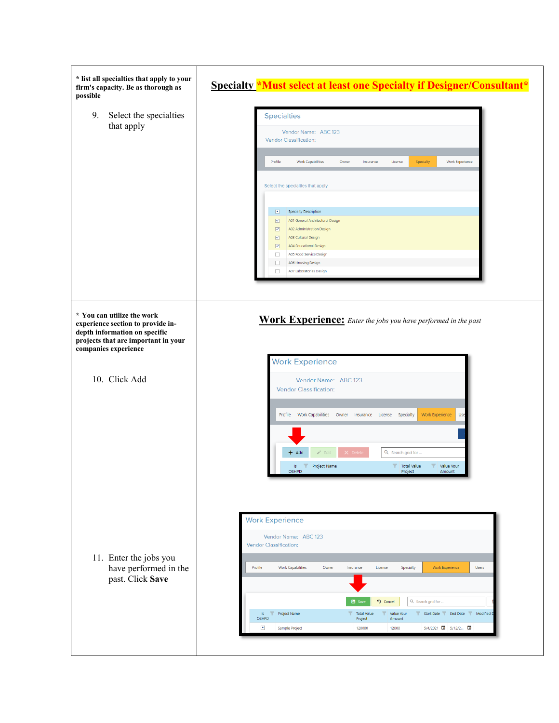| * list all specialties that apply to your<br>firm's capacity. Be as thorough as<br>possible                                                                     | Specialty *Must select at least one Specialty if Designer/Consultant*                                                                                                                                                                                               |
|-----------------------------------------------------------------------------------------------------------------------------------------------------------------|---------------------------------------------------------------------------------------------------------------------------------------------------------------------------------------------------------------------------------------------------------------------|
| Select the specialties<br>9.<br>that apply                                                                                                                      | <b>Specialties</b><br>Vendor Name: ABC 123<br>Vendor Classification:                                                                                                                                                                                                |
|                                                                                                                                                                 | Profile<br>Specialty<br><b>Work Capabilities</b><br>License<br>Work Experience<br>Owner<br>Insurance                                                                                                                                                                |
|                                                                                                                                                                 | Select the specialties that apply<br>▣<br><b>Specialty Description</b><br>A01 General Architectural Design<br>☑                                                                                                                                                     |
|                                                                                                                                                                 | $\boxed{\simeq}$<br>A02 Administration Design<br>$\boxed{\simeq}$<br>A03 Cultural Design<br>☑<br>A04 Educational Design<br>$\Box$<br>A05 Food Service Design                                                                                                        |
|                                                                                                                                                                 | $\Box$<br>A06 Housing Design<br>$\Box$<br>A07 Laboratories Design                                                                                                                                                                                                   |
| * You can utilize the work<br>experience section to provide in-<br>depth information on specific<br>projects that are important in your<br>companies experience | <b>Work Experience:</b> Enter the jobs you have performed in the past                                                                                                                                                                                               |
| 10. Click Add                                                                                                                                                   | <b>Work Experience</b><br>Vendor Name: ABC 123<br><b>Vendor Classification:</b>                                                                                                                                                                                     |
|                                                                                                                                                                 | Profile Work Capabilities Owner Insurance License Specialty<br>Work Experience<br>Use                                                                                                                                                                               |
|                                                                                                                                                                 | $+$ Add<br>Q Search grid for<br>$\mathscr{L}$ Edit<br>$X$ Del<br>Project Name<br>Total Value<br>Value Your<br>Is.<br>Y<br>OSHPD<br>Project<br>Amount                                                                                                                |
|                                                                                                                                                                 |                                                                                                                                                                                                                                                                     |
|                                                                                                                                                                 | <b>Work Experience</b><br>Vendor Name: ABC 123<br><b>Vendor Classification:</b>                                                                                                                                                                                     |
| 11. Enter the jobs you<br>have performed in the<br>past. Click Save                                                                                             | Profile<br>Work Experience<br>Users<br><b>Work Capabilities</b><br>Owner<br>License<br>Specialty<br>Insurance                                                                                                                                                       |
|                                                                                                                                                                 | <b>El</b> Save<br>つ Cancel<br>Q Search grid for<br>Project Name<br><b>Total Value</b><br>Value Your<br>Start Date<br>End Date Modified D<br>v.<br>Is.<br>OSHPD<br>Amount<br>Project<br>$\blacksquare$<br>$5/4/2021$ 3 $5/12/2$<br>Sample Project<br>120000<br>12000 |
|                                                                                                                                                                 |                                                                                                                                                                                                                                                                     |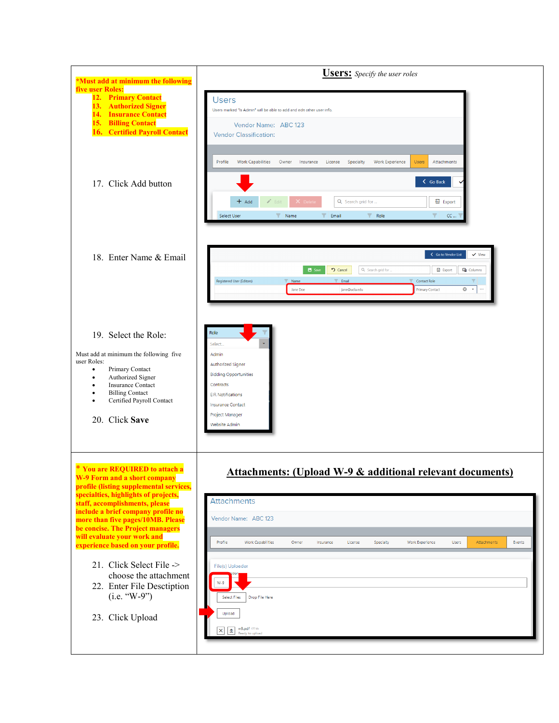